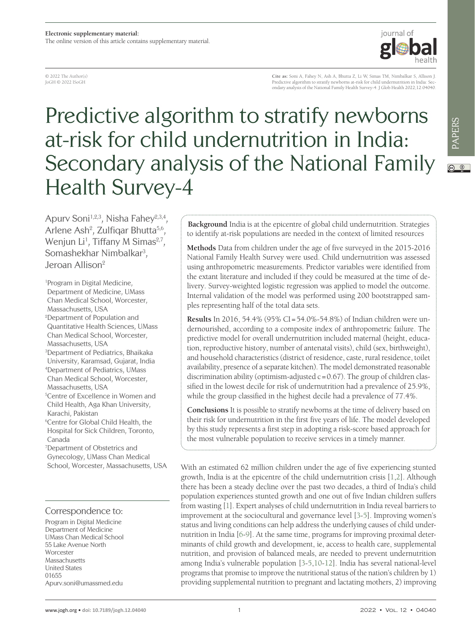© 2022 The Author(s) JoGH © 2022 ISoGH

**Cite as:** Soni A, Fahey N, Ash A, Bhutta Z, Li W, Simas TM, Nimbalkar S, Allison J. Predictive algorithm to stratify newborns at-risk for child undernutrition in India: Sec-ondary analysis of the National Family Health Survey-4. J Glob Health 2022;12:04040.

iournal of

# Predictive algorithm to stratify newborns at-risk for child undernutrition in India: Secondary analysis of the National Family Health Survey-4

Apurv Soni<sup>1,2,3</sup>, Nisha Fahey<sup>2,3,4</sup>, Arlene Ash<sup>2</sup>, Zulfiqar Bhutta<sup>5,6</sup>, Wenjun Li<sup>1</sup>, Tiffany M Simas<sup>2,7</sup>, Somashekhar Nimbalkar<sup>3</sup>, Jeroan Allison2

1 Program in Digital Medicine, Department of Medicine, UMass Chan Medical School, Worcester, Massachusetts, USA 2 Department of Population and Quantitative Health Sciences, UMass Chan Medical School, Worcester, Massachusetts, USA 3 Department of Pediatrics, Bhaikaka University, Karamsad, Gujarat, India 4 Department of Pediatrics, UMass Chan Medical School, Worcester, Massachusetts, USA 5 Centre of Excellence in Women and Child Health, Aga Khan University, Karachi, Pakistan 6 Centre for Global Child Health, the Hospital for Sick Children, Toronto, Canada 7 Department of Obstetrics and Gynecology, UMass Chan Medical School, Worcester, Massachusetts, USA

## Correspondence to:

Program in Digital Medicine Department of Medicine UMass Chan Medical School 55 Lake Avenue North **Worcester** Massachusetts United States 01655 Apurv.soni@umassmed.edu

**Background** India is at the epicentre of global child undernutrition. Strategies to identify at-risk populations are needed in the context of limited resources

**Methods** Data from children under the age of five surveyed in the 2015-2016 National Family Health Survey were used. Child undernutrition was assessed using anthropometric measurements. Predictor variables were identified from the extant literature and included if they could be measured at the time of delivery. Survey-weighted logistic regression was applied to model the outcome. Internal validation of the model was performed using 200 bootstrapped samples representing half of the total data sets.

**Results** In 2016, 54.4% (95% CI=54.0%-54.8%) of Indian children were undernourished, according to a composite index of anthropometric failure. The predictive model for overall undernutrition included maternal (height, education, reproductive history, number of antenatal visits), child (sex, birthweight), and household characteristics (district of residence, caste, rural residence, toilet availability, presence of a separate kitchen). The model demonstrated reasonable discrimination ability (optimism-adjusted  $c = 0.67$ ). The group of children classified in the lowest decile for risk of undernutrition had a prevalence of 25.9%, while the group classified in the highest decile had a prevalence of 77.4%.

**Conclusions** It is possible to stratify newborns at the time of delivery based on their risk for undernutrition in the first five years of life. The model developed by this study represents a first step in adopting a risk-score based approach for the most vulnerable population to receive services in a timely manner.

With an estimated 62 million children under the age of five experiencing stunted growth, India is at the epicentre of the child undernutrition crisis [\[1](#page-8-0)[,2](#page-8-1)]. Although there has been a steady decline over the past two decades, a third of India's child population experiences stunted growth and one out of five Indian children suffers from wasting [\[1](#page-8-0)]. Expert analyses of child undernutrition in India reveal barriers to improvement at the sociocultural and governance level [\[3](#page-8-2)[-5](#page-8-3)]. Improving women's status and living conditions can help address the underlying causes of child undernutrition in India [[6-](#page-8-4)[9](#page-8-5)]. At the same time, programs for improving proximal determinants of child growth and development, ie, access to health care, supplemental nutrition, and provision of balanced meals, are needed to prevent undernutrition among India's vulnerable population [[3](#page-8-2)[-5](#page-8-3),[10-](#page-8-6)[12](#page-8-7)]. India has several national-level programs that promise to improve the nutritional status of the nation's children by 1) providing supplemental nutrition to pregnant and lactating mothers, 2) improving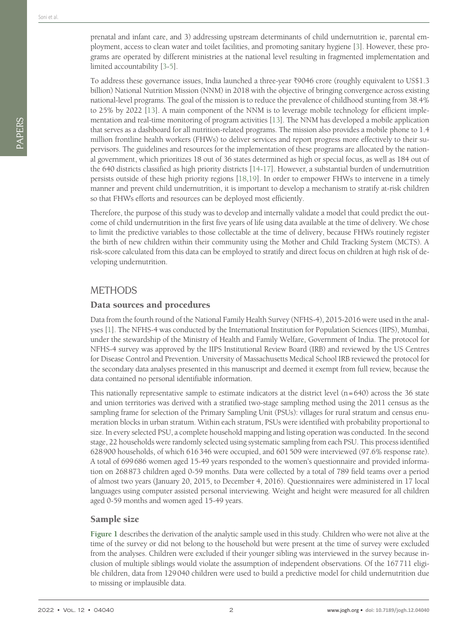PAPERS

To address these governance issues, India launched a three-year ₹9046 crore (roughly equivalent to US\$1.3 billion) National Nutrition Mission (NNM) in 2018 with the objective of bringing convergence across existing national-level programs. The goal of the mission is to reduce the prevalence of childhood stunting from 38.4% to 25% by 2022 [[13\]](#page-8-8). A main component of the NNM is to leverage mobile technology for efficient implementation and real-time monitoring of program activities [\[13](#page-8-8)]. The NNM has developed a mobile application that serves as a dashboard for all nutrition-related programs. The mission also provides a mobile phone to 1.4 million frontline health workers (FHWs) to deliver services and report progress more effectively to their supervisors. The guidelines and resources for the implementation of these programs are allocated by the national government, which prioritizes 18 out of 36 states determined as high or special focus, as well as 184 out of the 640 districts classified as high priority districts [\[14](#page-8-9)-[17\]](#page-9-0). However, a substantial burden of undernutrition persists outside of these high priority regions [\[18](#page-9-1),[19\]](#page-9-2). In order to empower FHWs to intervene in a timely manner and prevent child undernutrition, it is important to develop a mechanism to stratify at-risk children so that FHW's efforts and resources can be deployed most efficiently.

Therefore, the purpose of this study was to develop and internally validate a model that could predict the outcome of child undernutrition in the first five years of life using data available at the time of delivery. We chose to limit the predictive variables to those collectable at the time of delivery, because FHWs routinely register the birth of new children within their community using the Mother and Child Tracking System (MCTS). A risk-score calculated from this data can be employed to stratify and direct focus on children at high risk of developing undernutrition.

# METHODS

# Data sources and procedures

Data from the fourth round of the National Family Health Survey (NFHS-4), 2015-2016 were used in the analyses [[1\]](#page-8-0). The NFHS-4 was conducted by the International Institution for Population Sciences (IIPS), Mumbai, under the stewardship of the Ministry of Health and Family Welfare, Government of India. The protocol for NFHS-4 survey was approved by the IIPS Institutional Review Board (IRB) and reviewed by the US Centres for Disease Control and Prevention. University of Massachusetts Medical School IRB reviewed the protocol for the secondary data analyses presented in this manuscript and deemed it exempt from full review, because the data contained no personal identifiable information.

This nationally representative sample to estimate indicators at the district level  $(n=640)$  across the 36 state and union territories was derived with a stratified two-stage sampling method using the 2011 census as the sampling frame for selection of the Primary Sampling Unit (PSUs): villages for rural stratum and census enumeration blocks in urban stratum. Within each stratum, PSUs were identified with probability proportional to size. In every selected PSU, a complete household mapping and listing operation was conducted. In the second stage, 22 households were randomly selected using systematic sampling from each PSU. This process identified 628900 households, of which 616346 were occupied, and 601509 were interviewed (97.6% response rate). A total of 699686 women aged 15-49 years responded to the women's questionnaire and provided information on 268873 children aged 0-59 months. Data were collected by a total of 789 field teams over a period of almost two years (January 20, 2015, to December 4, 2016). Questionnaires were administered in 17 local languages using computer assisted personal interviewing. Weight and height were measured for all children aged 0-59 months and women aged 15-49 years.

# Sample size

**[Figure 1](#page-2-0)** describes the derivation of the analytic sample used in this study. Children who were not alive at the time of the survey or did not belong to the household but were present at the time of survey were excluded from the analyses. Children were excluded if their younger sibling was interviewed in the survey because inclusion of multiple siblings would violate the assumption of independent observations. Of the 167711 eligible children, data from 129040 children were used to build a predictive model for child undernutrition due to missing or implausible data.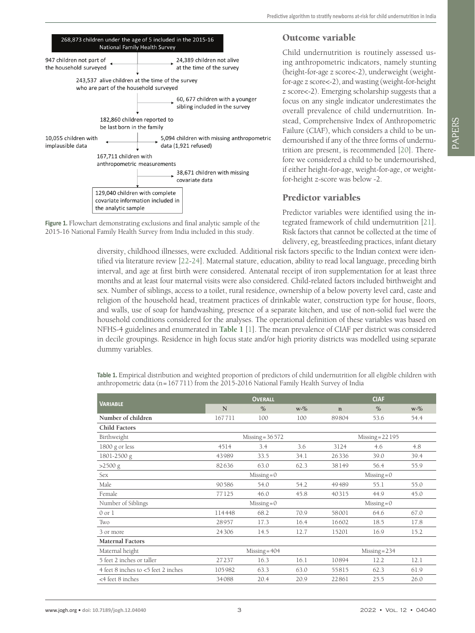<span id="page-2-0"></span>

Figure 1. Flowchart demonstrating exclusions and final analytic sample of the 2015-16 National Family Health Survey from India included in this study.

# Outcome variable

Child undernutrition is routinely assessed using anthropometric indicators, namely stunting (height-for-age z score<-2), underweight (weightfor-age z score<-2), and wasting (weight-for-height z score<-2). Emerging scholarship suggests that a focus on any single indicator underestimates the overall prevalence of child undernutrition. Instead, Comprehensive Index of Anthropometric Failure (CIAF), which considers a child to be undernourished if any of the three forms of undernutrition are present, is recommended [\[20](#page-9-3)]. Therefore we considered a child to be undernourished, if either height-for-age, weight-for-age, or weightfor-height z-score was below -2.

# Predictor variables

Predictor variables were identified using the integrated framework of child undernutrition [\[21](#page-9-4)]. Risk factors that cannot be collected at the time of delivery, eg, breastfeeding practices, infant dietary

diversity, childhood illnesses, were excluded. Additional risk factors specific to the Indian context were identified via literature review [\[22](#page-9-5)[-24\]](#page-9-6). Maternal stature, education, ability to read local language, preceding birth interval, and age at first birth were considered. Antenatal receipt of iron supplementation for at least three months and at least four maternal visits were also considered. Child-related factors included birthweight and sex. Number of siblings, access to a toilet, rural residence, ownership of a below poverty level card, caste and religion of the household head, treatment practices of drinkable water, construction type for house, floors, and walls, use of soap for handwashing, presence of a separate kitchen, and use of non-solid fuel were the household conditions considered for the analyses. The operational definition of these variables was based on NFHS-4 guidelines and enumerated in **[Table 1](#page-2-1)** [\[1](#page-8-0)]. The mean prevalence of CIAF per district was considered in decile groupings. Residence in high focus state and/or high priority districts was modelled using separate dummy variables.

<span id="page-2-1"></span>**Table 1.** Empirical distribution and weighted proportion of predictors of child undernutrition for all eligible children with anthropometric data (n=167711) from the 2015-2016 National Family Health Survey of India

| <b>VARIABLE</b>                     | <b>OVERALL</b>                 |                   |        | <b>CIAF</b> |                   |        |
|-------------------------------------|--------------------------------|-------------------|--------|-------------|-------------------|--------|
|                                     | N                              | $\%$              | $w-$ % | $\mathbf n$ | $\%$              | $w-$ % |
| Number of children                  | 167711                         | 100               | 100    | 89804       | 53.6              | 54.4   |
| <b>Child Factors</b>                |                                |                   |        |             |                   |        |
| Birthweight                         |                                | Missing = $36572$ |        |             | $Missing = 22195$ |        |
| $1800$ g or less                    | 4514                           | 3.4               | 3.6    | 3124        | 4.6               | 4.8    |
| 1801-2500 g                         | 43989                          | 33.5              | 34.1   | 26336       | 39.0              | 39.4   |
| >2500 g                             | 82636                          | 63.0              | 62.3   | 38149       | 56.4              | 55.9   |
| <b>Sex</b>                          | $Missing = 0$<br>$Missing = 0$ |                   |        |             |                   |        |
| Male                                | 90586                          | 54.0              | 54.2   | 49489       | 55.1              | 55.0   |
| Female                              | 77125                          | 46.0              | 45.8   | 40315       | 44.9              | 45.0   |
| Number of Siblings                  |                                | $Missing = 0$     |        |             | $Missing = 0$     |        |
| $0 \text{ or } 1$                   | 114448                         | 68.2              | 70.9   | 58001       | 64.6              | 67.0   |
| Two                                 | 28957                          | 17.3              | 16.4   | 16602       | 18.5              | 17.8   |
| 3 or more                           | 24306                          | 14.5              | 12.7   | 15201       | 16.9              | 15.2   |
| <b>Maternal Factors</b>             |                                |                   |        |             |                   |        |
| Maternal height                     |                                | $Missing = 404$   |        |             | $Missing = 234$   |        |
| 5 feet 2 inches or taller           | 27237                          | 16.3              | 16.1   | 10894       | 12.2              | 12.1   |
| 4 feet 8 inches to <5 feet 2 inches | 105982                         | 63.3              | 63.0   | 55815       | 62.3              | 61.9   |
| <4 feet 8 inches                    | 34088                          | 20.4              | 20.9   | 22861       | 25.5              | 26.0   |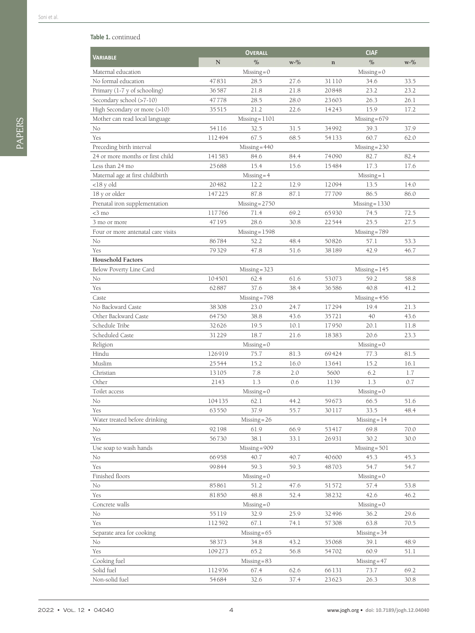#### **Table 1.** continued

|                                      | <b>OVERALL</b> |                       | <b>CIAF</b>       |             |                       |       |
|--------------------------------------|----------------|-----------------------|-------------------|-------------|-----------------------|-------|
| Variable                             | $\mathbb N$    | $\%$                  | $w - \frac{9}{6}$ | $\mathbf n$ | $\%$                  | $W-9$ |
| Maternal education                   |                | $Missing = 0$         |                   |             | $Missing = 0$         |       |
| No formal education                  | 47831          | 28.5                  | 27.6              | 31110       | 34.6                  | 33.5  |
| Primary (1-7 y of schooling)         | 36587          | 21.8                  | 21.8              | 20848       | 23.2                  | 23.2  |
| Secondary school (>7-10)             | 47778          | 28.5                  | 28.0              | 23603       | 26.3                  | 26.1  |
| High Secondary or more (>10)         | 35515          | 21.2                  | 22.6              | 14243       | 15.9                  | 17.2  |
| Mother can read local language       |                | $Missing = 1101$      |                   |             | $Missing = 679$       |       |
| No                                   | 54116          | 32.5                  | 31.5              | 34992       | 39.3                  | 37.9  |
| Yes                                  | 112494         | 67.5                  | 68.5              | 54133       | 60.7                  | 62.0  |
| Preceding birth interval             |                | $Missing = 440$       |                   |             | $Missing = 230$       |       |
| 24 or more months or first child     | 141583         | 84.6                  | 84.4              | 74090       | 82.7                  | 82.4  |
| Less than 24 mo                      | 25688          | 15.4                  | 15.6              | 15484       | 17.3                  | 17.6  |
| Maternal age at first childbirth     |                | $Missing = 4$         |                   |             | $Missing = 1$         |       |
| $<$ l $8y$ old                       | 20482          | 12.2                  | 12.9              | 12094       | 13.5                  | 14.0  |
| 18 y or older                        | 147225         | 87.8                  | 87.1              | 77709       | 86.5                  | 86.0  |
| Prenatal iron supplementation        |                | $Missing = 2750$      |                   |             | $Missing = 1330$      |       |
| $<$ 3 mo                             | 117766         | 71.4                  | 69.2              | 65930       | 74.5                  | 72.5  |
| 3 mo or more                         | 47195          | 28.6                  | 30.8              | 22544       | 25.5                  | 27.5  |
| Four or more antenatal care visits   |                | $Missing = 1598$      |                   |             | $Missing = 789$       |       |
| No                                   | 86784          | 52.2                  | 48.4              | 50826       | 57.1                  | 53.3  |
| Yes                                  | 79329          | 47.8                  | 51.6              | 38189       | 42.9                  | 46.7  |
| <b>Household Factors</b>             |                |                       |                   |             |                       |       |
| Below Poverty Line Card              |                | $Missing = 323$       |                   |             | $Missing = 145$       |       |
| No                                   | 104501         | 62.4                  | 61.6              | 53073       | 59.2                  | 58.8  |
| Yes                                  | 62887          | 37.6                  | 38.4              | 36586       | 40.8                  | 41.2  |
| Caste                                |                | Missing=798           |                   |             | $Missing = 456$       |       |
| No Backward Caste                    | 38308          | 23.0                  | 24.7              | 17294       | 19.4                  | 21.3  |
| Other Backward Caste                 | 64750          | 38.8                  | 43.6              | 35721       | 40                    | 43.6  |
| Schedule Tribe                       | 32626          | 19.5                  | 10.1              | 17950       | 20.1                  | 11.8  |
| Scheduled Caste                      | 31229          | 18.7                  | 21.6              | 18383       | 20.6                  | 23.3  |
| Religion                             |                | $Missing = 0$         |                   |             | $Missing = 0$         |       |
| Hindu                                | 126919         | 75.7                  | 81.3              | 69424       | 77.3                  | 81.5  |
| Muslim                               | 25544          | 15.2                  | 16.0              | 13641       | 15.2                  | 16.1  |
| Christian                            | 13105          | 7.8                   | 2.0               | 5600        | 6.2                   | 1.7   |
| Other                                | 2143           | 1.3                   | 0.6               | 1139        | 1.3                   | 0.7   |
| Toilet access                        |                | $Missing = 0$         |                   |             | $Missing = 0$         |       |
| No                                   | 104135         | 62.1                  | 44.2              | 59673       | 66.5                  | 51.6  |
| Yes<br>Water treated before drinking | 63550          | 37.9                  | 55.7              | 30117       | 33.5                  | 48.4  |
|                                      | 92198          | $Missing = 26$        | 66.9              |             | $Missing = 14$        | 70.0  |
| No<br>Yes                            |                | 61.9<br>38.1          | 33.1              | 53417       | 69.8<br>30.2          |       |
| Use soap to wash hands               | 56730          | $Missing = 909$       |                   | 26931       | $Missing = 501$       | 30.0  |
|                                      | 66958          | 40.7                  | 40.7              | 40600       |                       | 45.3  |
| No<br>Yes                            | 99844          | 59.3                  | 59.3              | 48703       | 45.3<br>54.7          | 54.7  |
| Finished floors                      |                |                       |                   |             |                       |       |
| No                                   | 85861          | $Missing = 0$<br>51.2 | 47.6              | 51572       | $Missing = 0$<br>57.4 | 53.8  |
| Yes                                  | 81850          | 48.8                  | 52.4              | 38232       | 42.6                  | 46.2  |
| Concrete walls                       |                | $Missing = 0$         |                   |             | $Missing = 0$         |       |
| No                                   | 55119          | 32.9                  | 25.9              | 32496       | 36.2                  | 29.6  |
| Yes                                  | 112592         | 67.1                  | 74.1              | 57308       | 63.8                  | 70.5  |
| Separate area for cooking            |                | $Missing = 65$        |                   |             | $Missing = 34$        |       |
| No                                   | 58373          | 34.8                  | 43.2              | 35068       | 39.1                  | 48.9  |
| Yes                                  | 109273         | 65.2                  | 56.8              | 54702       | 60.9                  | 51.1  |
| Cooking fuel                         |                | $Missing = 83$        |                   |             | $Missing = 47$        |       |
| Solid fuel                           | 112936         | 67.4                  | 62.6              | 66131       | 73.7                  | 69.2  |
| Non-solid fuel                       | 54684          | 32.6                  | 37.4              | 23623       | 26.3                  | 30.8  |
|                                      |                |                       |                   |             |                       |       |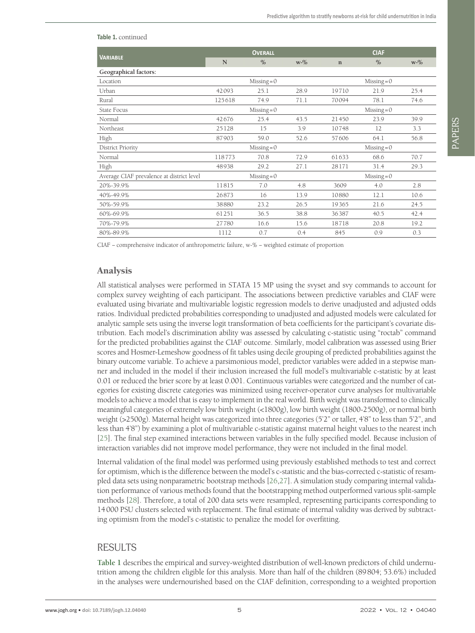| <b>VARIABLE</b>                           | <b>OVERALL</b>                 |               |       | <b>CIAF</b> |               |       |
|-------------------------------------------|--------------------------------|---------------|-------|-------------|---------------|-------|
|                                           | N                              | $\%$          | $W-9$ | $\mathbf n$ | $\%$          | $W-0$ |
| Geographical factors:                     |                                |               |       |             |               |       |
| Location                                  | $Missing = 0$<br>$Missing = 0$ |               |       |             |               |       |
| Urban                                     | 42093                          | 25.1          | 28.9  | 19710       | 21.9          | 25.4  |
| Rural                                     | 125618                         | 74.9          | 71.1  | 70094       | 78.1          | 74.6  |
| <b>State Focus</b>                        |                                | $Missing = 0$ |       |             | $Missing = 0$ |       |
| Normal                                    | 42676                          | 25.4          | 43.5  | 21450       | 23.9          | 39.9  |
| Northeast                                 | 25128                          | 15            | 3.9   | 10748       | 12            | 3.3   |
| High                                      | 87903                          | 59.0          | 52.6  | 57606       | 64.1          | 56.8  |
| <b>District Priority</b>                  | $Missing = 0$<br>$Missing = 0$ |               |       |             |               |       |
| Normal                                    | 118773                         | 70.8          | 72.9  | 61633       | 68.6          | 70.7  |
| High                                      | 48938                          | 29.2          | 27.1  | 28171       | 31.4          | 29.3  |
| Average CIAF prevalence at district level |                                | $Missing = 0$ |       |             | $Missing = 0$ |       |
| 20%-39.9%                                 | 11815                          | 7.0           | 4.8   | 3609        | 4.0           | 2.8   |
| 40%-49.9%                                 | 26873                          | 16            | 13.9  | 10880       | 12.1          | 10.6  |
| 50%-59.9%                                 | 38880                          | 23.2          | 26.5  | 19365       | 21.6          | 24.5  |
| 60%-69.9%                                 | 61251                          | 36.5          | 38.8  | 36387       | 40.5          | 42.4  |
| 70%-79.9%                                 | 27780                          | 16.6          | 15.6  | 18718       | 20.8          | 19.2  |
| 80%-89.9%                                 | 1112                           | 0.7           | 0.4   | 845         | 0.9           | 0.3   |

**Table 1.** continued

CIAF – comprehensive indicator of anthropometric failure, w-% – weighted estimate of proportion

## Analysis

All statistical analyses were performed in STATA 15 MP using the svyset and svy commands to account for complex survey weighting of each participant. The associations between predictive variables and CIAF were evaluated using bivariate and multivariable logistic regression models to derive unadjusted and adjusted odds ratios. Individual predicted probabilities corresponding to unadjusted and adjusted models were calculated for analytic sample sets using the inverse logit transformation of beta coefficients for the participant's covariate distribution. Each model's discrimination ability was assessed by calculating c-statistic using "roctab" command for the predicted probabilities against the CIAF outcome. Similarly, model calibration was assessed using Brier scores and Hosmer-Lemeshow goodness of fit tables using decile grouping of predicted probabilities against the binary outcome variable. To achieve a parsimonious model, predictor variables were added in a stepwise manner and included in the model if their inclusion increased the full model's multivariable c-statistic by at least 0.01 or reduced the brier score by at least 0.001. Continuous variables were categorized and the number of categories for existing discrete categories was minimized using receiver-operator curve analyses for multivariable models to achieve a model that is easy to implement in the real world. Birth weight was transformed to clinically meaningful categories of extremely low birth weight (<1800g), low birth weight (1800-2500g), or normal birth weight (>2500g). Maternal height was categorized into three categories (5'2" or taller, 4'8" to less than 5'2", and less than 4'8") by examining a plot of multivariable c-statistic against maternal height values to the nearest inch [\[25](#page-9-7)]. The final step examined interactions between variables in the fully specified model. Because inclusion of interaction variables did not improve model performance, they were not included in the final model.

Internal validation of the final model was performed using previously established methods to test and correct for optimism, which is the difference between the model's c-statistic and the bias-corrected c-statistic of resampled data sets using nonparametric bootstrap methods [[26](#page-9-8),[27\]](#page-9-9). A simulation study comparing internal validation performance of various methods found that the bootstrapping method outperformed various split-sample methods [[28\]](#page-9-10). Therefore, a total of 200 data sets were resampled, representing participants corresponding to 14000 PSU clusters selected with replacement. The final estimate of internal validity was derived by subtracting optimism from the model's c-statistic to penalize the model for overfitting.

# RESULTS

**[Table 1](#page-2-1)** describes the empirical and survey-weighted distribution of well-known predictors of child undernutrition among the children eligible for this analysis. More than half of the children (89804; 53.6%) included in the analyses were undernourished based on the CIAF definition, corresponding to a weighted proportion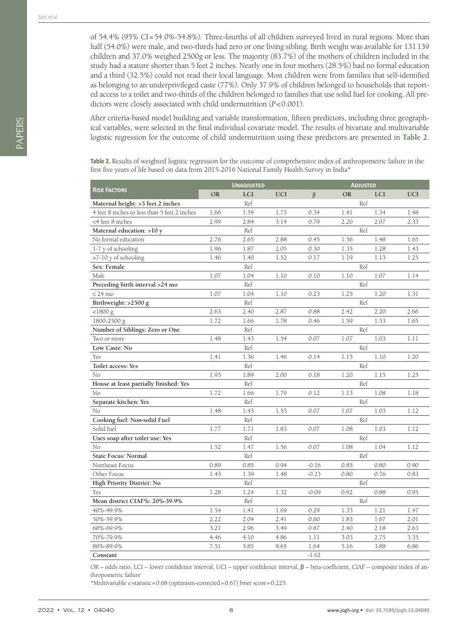PAPERS

of 54.4% (95% CI=54.0%-54.8%). Three-fourths of all children surveyed lived in rural regions. More than half (54.0%) were male, and two-thirds had zero or one living sibling. Birth weight was available for 131139 children and 37.0% weighed 2500g or less. The majority (83.7%) of the mothers of children included in the study had a stature shorter than 5 feet 2 inches. Nearly one in four mothers (28.5%) had no formal education and a third (32.5%) could not read their local language. Most children were from families that self-identified as belonging to an underprivileged caste (77%). Only 37.9% of children belonged to households that reported access to a toilet and two-thirds of the children belonged to families that use solid fuel for cooking. All predictors were closely associated with child undernutrition (*P*<0.001).

After criteria-based model building and variable transformation, fifteen predictors, including three geographical variables, were selected in the final individual covariate model. The results of bivariate and multivariable logistic regression for the outcome of child undernutrition using these predictors are presented in **[Table 2](#page-5-0)**.

<span id="page-5-0"></span>**Table 2.** Results of weighted logistic regression for the outcome of comprehensive index of anthropometric failure in the first five years of life based on data from 2015-2016 National Family Health Survey in India\*

|                                              | <b>UNADJUSTED</b> |            |            | <b>ADJUSTED</b> |           |            |            |
|----------------------------------------------|-------------------|------------|------------|-----------------|-----------|------------|------------|
| <b>RISK FACTORS</b>                          | <b>OR</b>         | <b>LCI</b> | <b>UCI</b> | $\beta$         | <b>OR</b> | <b>LCI</b> | <b>UCI</b> |
| Maternal height: >5 feet 2 inches            |                   | Ref        |            |                 |           | Ref        |            |
| 4 feet 8 inches to less than 5 feet 2 inches | 1.66              | 1.59       | 1.73       | 0.34            | 1.41      | 1.34       | 1.48       |
| <4 feet 8 inches                             | 2.99              | 2.84       | 3.14       | 0.79            | 2.20      | 2.07       | 2.33       |
| Maternal education: >10 y                    |                   | Ref        |            |                 |           | Ref        |            |
| No formal education                          | 2.76              | 2.65       | 2.88       | 0.45            | 1.56      | 1.48       | 1.65       |
| 1-7 y of schooling                           | 1.96              | 1.87       | 2.05       | 0.30            | 1.35      | 1.28       | 1.43       |
| $>7-10$ y of schooling                       | 1.46              | 1.40       | 1.52       | 0.17            | 1.19      | 1.13       | 1.25       |
| Sex: Female                                  |                   | Ref        |            |                 |           | Ref        |            |
| Male                                         | 1.07              | 1.04       | 1.10       | 0.10            | 1.10      | 1.07       | 1.14       |
| Preceding birth interval >24 mo              |                   | Ref        |            |                 |           | Ref        |            |
| $\leq 24$ mo                                 | 1.07              | 1.04       | 1.10       | 0.23            | 1.25      | 1.20       | 1.31       |
| Birthweight: >2500 g                         |                   | Ref        |            |                 |           | Ref        |            |
| $<$ 1800 $g$                                 | 2.63              | 2.40       | 2.87       | 0.88            | 2.42      | 2.20       | 2.66       |
| 1800-2500 g                                  | 1.72              | 1.66       | 1.78       | 0.46            | 1.59      | 1.53       | 1.65       |
| Number of Siblings: Zero or One              |                   | Ref        |            |                 |           | Ref        |            |
| Two or more                                  | 1.48              | 1.43       | 1.54       | 0.07            | 1.07      | 1.03       | 1.11       |
| Low Caste: No                                |                   | Ref        |            |                 |           | Ref        |            |
| Yes                                          | 1.41              | 1.36       | 1.46       | 0.14            | 1.15      | 1.10       | 1.20       |
| Toilet access: Yes                           |                   | Ref        |            |                 |           | Ref        |            |
| No.                                          | 1.95              | 1.89       | 2.00       | 0.18            | 1.20      | 1.15       | 1.25       |
| House at least partially finished: Yes       |                   | Ref        |            |                 |           | Ref        |            |
| No                                           | 1.72              | 1.66       | 1.79       | 0.12            | 1.13      | 1.08       | 1.18       |
| Separate kitchen: Yes                        |                   | Ref        |            |                 |           | Ref        |            |
| No                                           | 1.48              | 1.43       | 1.53       | 0.07            | 1.07      | 1.03       | 1.12       |
| Cooking fuel: Non-solid Fuel                 |                   | Ref        |            |                 |           | Ref        |            |
| Solid fuel                                   | 1.77              | 1.71       | 1.83       | 0.07            | 1.08      | 1.03       | 1.12       |
| Uses soap after toilet use: Yes              |                   | Ref        |            |                 |           | Ref        |            |
| No                                           | 1.52              | 1.47       | 1.56       | 0.07            | 1.08      | 1.04       | 1.12       |
| <b>State Focus: Normal</b>                   |                   | Ref        |            |                 |           | Ref        |            |
| Northeast Focus                              | 0.89              | 0.85       | 0.94       | $-0.16$         | 0.85      | 0.80       | 0.90       |
| Other Focus                                  | 1.43              | 1.39       | 1.48       | $-0.23$         | 0.80      | 0.76       | 0.83       |
| High Priority District: No                   |                   | Ref        |            |                 |           | Ref        |            |
| Yes                                          | 1.28              | 1.24       | 1.32       | $-0.09$         | 0.92      | 0.88       | 0.95       |
| Mean district CIAF%: 20%-39.9%               |                   | Ref        |            |                 |           | Ref        |            |
| 40%-49.9%                                    | 1.54              | 1.41       | 1.69       | 0.29            | 1.33      | 1.21       | 1.47       |
| 50%-59.9%                                    | 2.22              | 2.04       | 2.41       | 0.60            | 1.83      | 1.67       | 2.01       |
| 60%-69.9%                                    | 3.21              | 2.96       | 3.49       | 0.87            | 2.40      | 2.18       | 2.63       |
| 70%-79.9%                                    | 4.46              | 4.10       | 4.86       | 1.11            | 3.03      | 2.75       | 3.35       |
| 80%-89.9%                                    | 7.51              | 5.85       | 9.65       | 1.64            | 5.16      | 3.88       | 6.86       |
| Constant                                     |                   |            |            | $-1.62$         |           |            |            |

OR – odds ratio, LCI – lower confidence interval, UCI – upper confidence interval, β – beta-coefficient, CIAF – composite index of anthropometric failure

\*Multivariable c-statistic=0.68 (optimism-corrected=0.67) brier score=0.225.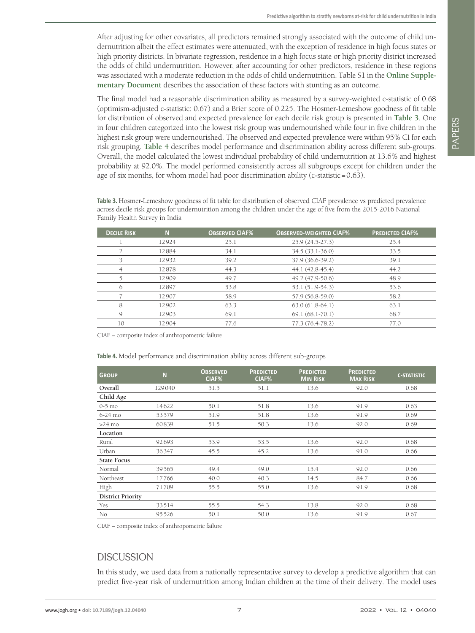After adjusting for other covariates, all predictors remained strongly associated with the outcome of child undernutrition albeit the effect estimates were attenuated, with the exception of residence in high focus states or high priority districts. In bivariate regression, residence in a high focus state or high priority district increased the odds of child undernutrition. However, after accounting for other predictors, residence in these regions was associated with a moderate reduction in the odds of child undernutrition. Table S1 in the **[Online Supple](#page-8-10)[mentary Document](#page-8-10)** describes the association of these factors with stunting as an outcome.

The final model had a reasonable discrimination ability as measured by a survey-weighted c-statistic of 0.68 (optimism-adjusted c-statistic: 0.67) and a Brier score of 0.225. The Hosmer-Lemeshow goodness of fit table for distribution of observed and expected prevalence for each decile risk group is presented in **[Table 3](#page-6-0)**. One in four children categorized into the lowest risk group was undernourished while four in five children in the highest risk group were undernourished. The observed and expected prevalence were within 95% CI for each risk grouping. **[Table 4](#page-6-1)** describes model performance and discrimination ability across different sub-groups. Overall, the model calculated the lowest individual probability of child undernutrition at 13.6% and highest probability at 92.0%. The model performed consistently across all subgroups except for children under the age of six months, for whom model had poor discrimination ability (c-statistic=0.63).

<span id="page-6-0"></span>**Table 3.** Hosmer-Lemeshow goodness of fit table for distribution of observed CIAF prevalence vs predicted prevalence across decile risk groups for undernutrition among the children under the age of five from the 2015-2016 National Family Health Survey in India

| <b>DECILE RISK</b> | N     | <b>OBSERVED CIAF%</b> | <b>OBSERVED-WEIGHTED CIAF%</b> | <b>PREDICTED CIAF%</b> |
|--------------------|-------|-----------------------|--------------------------------|------------------------|
|                    | 12924 | 25.1                  | $25.9(24.5-27.3)$              | 25.4                   |
|                    | 12884 | 34.1                  | 34.5 (33.1-36.0)               | 33.5                   |
|                    | 12932 | 39.2                  | 37.9 (36.6-39.2)               | 39.1                   |
| $\overline{4}$     | 12878 | 44.3                  | 44.1 (42.8-45.4)               | 44.2                   |
|                    | 12909 | 49.7                  | 49.2 (47.9-50.6)               | 48.9                   |
| 6                  | 12897 | 53.8                  | 53.1 (51.9-54.3)               | 53.6                   |
|                    | 12907 | 58.9                  | 57.9 (56.8-59.0)               | 58.2                   |
| 8                  | 12902 | 63.3                  | $63.0(61.8-64.1)$              | 63.1                   |
| 9                  | 12903 | 69.1                  | $69.1(68.1-70.1)$              | 68.7                   |
| 10                 | 12904 | 77.6                  | 77.3 (76.4-78.2)               | 77.0                   |

CIAF – composite index of anthropometric failure

<span id="page-6-1"></span>**Table 4.** Model performance and discrimination ability across different sub-groups

| <b>GROUP</b>             | N      | <b>OBSERVED</b><br>CIAF% | <b>PREDICTED</b><br>CIAF% | <b>PREDICTED</b><br><b>MIN RISK</b> | <b>PREDICTED</b><br><b>MAX RISK</b> | <b>C-STATISTIC</b> |
|--------------------------|--------|--------------------------|---------------------------|-------------------------------------|-------------------------------------|--------------------|
| Overall                  | 129040 | 51.5                     | 51.1                      | 13.6                                | 92.0                                | 0.68               |
| Child Age                |        |                          |                           |                                     |                                     |                    |
| $0-5$ mo                 | 14622  | 50.1                     | 51.8                      | 13.6                                | 91.9                                | 0.63               |
| $6-24$ mo                | 53579  | 51.9                     | 51.8                      | 13.6                                | 91.9                                | 0.69               |
| $>24$ mo                 | 60839  | 51.5                     | 50.3                      | 13.6                                | 92.0                                | 0.69               |
| Location                 |        |                          |                           |                                     |                                     |                    |
| Rural                    | 92693  | 53.9                     | 53.5                      | 13.6                                | 92.0                                | 0.68               |
| Urban                    | 36347  | 45.5                     | 45.2                      | 13.6                                | 91.0                                | 0.66               |
| <b>State Focus</b>       |        |                          |                           |                                     |                                     |                    |
| Normal                   | 39565  | 49.4                     | 49.0                      | 15.4                                | 92.0                                | 0.66               |
| Northeast                | 17766  | 40.0                     | 40.3                      | 14.5                                | 84.7                                | 0.66               |
| High                     | 71709  | 55.5                     | 55.0                      | 13.6                                | 91.9                                | 0.68               |
| <b>District Priority</b> |        |                          |                           |                                     |                                     |                    |
| Yes                      | 33514  | 55.5                     | 54.3                      | 13.8                                | 92.0                                | 0.68               |
| N <sub>o</sub>           | 95526  | 50.1                     | 50.0                      | 13.6                                | 91.9                                | 0.67               |

CIAF – composite index of anthropometric failure

# **DISCUSSION**

In this study, we used data from a nationally representative survey to develop a predictive algorithm that can predict five-year risk of undernutrition among Indian children at the time of their delivery. The model uses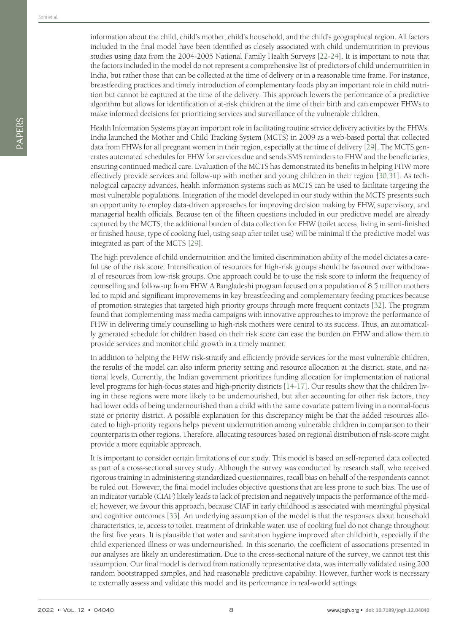Health Information Systems play an important role in facilitating routine service delivery activities by the FHWs. India launched the Mother and Child Tracking System (MCTS) in 2009 as a web-based portal that collected data from FHWs for all pregnant women in their region, especially at the time of delivery [[29\]](#page-9-11). The MCTS generates automated schedules for FHW for services due and sends SMS reminders to FHW and the beneficiaries, ensuring continued medical care. Evaluation of the MCTS has demonstrated its benefits in helping FHW more effectively provide services and follow-up with mother and young children in their region [[30](#page-9-12)[,31\]](#page-9-13). As technological capacity advances, health information systems such as MCTS can be used to facilitate targeting the most vulnerable populations. Integration of the model developed in our study within the MCTS presents such an opportunity to employ data-driven approaches for improving decision making by FHW, supervisory, and managerial health officials. Because ten of the fifteen questions included in our predictive model are already captured by the MCTS, the additional burden of data collection for FHW (toilet access, living in semi-finished or finished house, type of cooking fuel, using soap after toilet use) will be minimal if the predictive model was integrated as part of the MCTS [[29](#page-9-11)].

The high prevalence of child undernutrition and the limited discrimination ability of the model dictates a careful use of the risk score. Intensification of resources for high-risk groups should be favoured over withdrawal of resources from low-risk groups. One approach could be to use the risk score to inform the frequency of counselling and follow-up from FHW. A Bangladeshi program focused on a population of 8.5 million mothers led to rapid and significant improvements in key breastfeeding and complementary feeding practices because of promotion strategies that targeted high priority groups through more frequent contacts [\[32](#page-9-14)]. The program found that complementing mass media campaigns with innovative approaches to improve the performance of FHW in delivering timely counselling to high-risk mothers were central to its success. Thus, an automatically generated schedule for children based on their risk score can ease the burden on FHW and allow them to provide services and monitor child growth in a timely manner.

In addition to helping the FHW risk-stratify and efficiently provide services for the most vulnerable children, the results of the model can also inform priority setting and resource allocation at the district, state, and national levels. Currently, the Indian government prioritizes funding allocation for implementation of national level programs for high-focus states and high-priority districts [[14](#page-8-9)[-17](#page-9-0)]. Our results show that the children living in these regions were more likely to be undernourished, but after accounting for other risk factors, they had lower odds of being undernourished than a child with the same covariate pattern living in a normal-focus state or priority district. A possible explanation for this discrepancy might be that the added resources allocated to high-priority regions helps prevent undernutrition among vulnerable children in comparison to their counterparts in other regions. Therefore, allocating resources based on regional distribution of risk-score might provide a more equitable approach.

It is important to consider certain limitations of our study. This model is based on self-reported data collected as part of a cross-sectional survey study. Although the survey was conducted by research staff, who received rigorous training in administering standardized questionnaires, recall bias on behalf of the respondents cannot be ruled out. However, the final model includes objective questions that are less prone to such bias. The use of an indicator variable (CIAF) likely leads to lack of precision and negatively impacts the performance of the model; however, we favour this approach, because CIAF in early childhood is associated with meaningful physical and cognitive outcomes [\[33](#page-9-15)]. An underlying assumption of the model is that the responses about household characteristics, ie, access to toilet, treatment of drinkable water, use of cooking fuel do not change throughout the first five years. It is plausible that water and sanitation hygiene improved after childbirth, especially if the child experienced illness or was undernourished. In this scenario, the coefficient of associations presented in our analyses are likely an underestimation. Due to the cross-sectional nature of the survey, we cannot test this assumption. Our final model is derived from nationally representative data, was internally validated using 200 random bootstrapped samples, and had reasonable predictive capability. However, further work is necessary to externally assess and validate this model and its performance in real-world settings.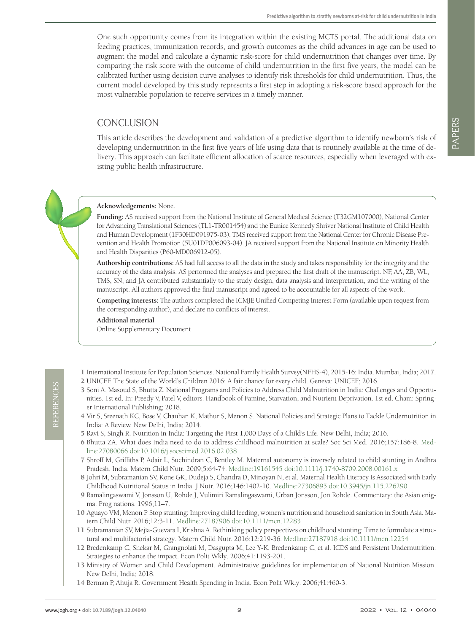PAPERS

One such opportunity comes from its integration within the existing MCTS portal. The additional data on feeding practices, immunization records, and growth outcomes as the child advances in age can be used to augment the model and calculate a dynamic risk-score for child undernutrition that changes over time. By comparing the risk score with the outcome of child undernutrition in the first five years, the model can be calibrated further using decision curve analyses to identify risk thresholds for child undernutrition. Thus, the current model developed by this study represents a first step in adopting a risk-score based approach for the most vulnerable population to receive services in a timely manner.

# **CONCLUSION**

This article describes the development and validation of a predictive algorithm to identify newborn's risk of developing undernutrition in the first five years of life using data that is routinely available at the time of delivery. This approach can facilitate efficient allocation of scarce resources, especially when leveraged with existing public health infrastructure.

# **Acknowledgements:** None.

**Funding:** AS received support from the National Institute of General Medical Science (T32GM107000), National Center for Advancing Translational Sciences (TL1-TR001454) and the Eunice Kennedy Shriver National Institute of Child Health and Human Development (1F30HD091975-03). TMS received support from the National Center for Chronic Disease Prevention and Health Promotion (5U01DP006093-04). JA received support from the National Institute on Minority Health and Health Disparities (P60-MD006912-05).

**Authorship contributions:** AS had full access to all the data in the study and takes responsibility for the integrity and the accuracy of the data analysis. AS performed the analyses and prepared the first draft of the manuscript. NF, AA, ZB, WL, TMS, SN, and JA contributed substantially to the study design, data analysis and interpretation, and the writing of the manuscript. All authors approved the final manuscript and agreed to be accountable for all aspects of the work.

**Competing interests:** The authors completed the ICMJE Unified Competing Interest Form (available upon request from the corresponding author), and declare no conflicts of interest.

#### **Additional material**

<span id="page-8-10"></span>[Online Supplementary Document](https://jogh.org/documents/2022/jogh-12-04040-s001.pdf)

- <span id="page-8-0"></span>1 International Institute for Population Sciences. National Family Health Survey(NFHS-4), 2015-16: India. Mumbai, India; 2017. 2 UNICEF. The State of the World's Children 2016: A fair chance for every child. Geneva: UNICEF; 2016.
- <span id="page-8-1"></span>
- <span id="page-8-2"></span>3 Soni A, Masoud S, Bhutta Z. National Programs and Policies to Address Child Malnutrition in India: Challenges and Opportunities. 1st ed. In: Preedy V, Patel V, editors. Handbook of Famine, Starvation, and Nutrient Deprivation. 1st ed. Cham: Springer International Publishing; 2018.
- 4 Vir S, Sreenath KC, Bose V, Chauhan K, Mathur S, Menon S. National Policies and Strategic Plans to Tackle Undernutrition in India: A Review. New Delhi, India; 2014.
- <span id="page-8-3"></span>5 Ravi S, Singh R. Nutrition in India: Targeting the First 1,000 Days of a Child's Life. New Delhi, India; 2016.
- <span id="page-8-4"></span>6 Bhutta ZA. What does India need to do to address childhood malnutrition at scale? Soc Sci Med. 2016;157:186-8. [Med](https://www.ncbi.nlm.nih.gov/entrez/query.fcgi?cmd=Retrieve&db=PubMed&list_uids=27080066&dopt=Abstract)[line:27080066](https://www.ncbi.nlm.nih.gov/entrez/query.fcgi?cmd=Retrieve&db=PubMed&list_uids=27080066&dopt=Abstract) [doi:10.1016/j.socscimed.2016.02.038](https://doi.org/10.1016/j.socscimed.2016.02.038)
- 7 Shroff M, Griffiths P, Adair L, Suchindran C, Bentley M. Maternal autonomy is inversely related to child stunting in Andhra Pradesh, India. Matern Child Nutr. 2009;5:64-74. [Medline:19161545](https://www.ncbi.nlm.nih.gov/entrez/query.fcgi?cmd=Retrieve&db=PubMed&list_uids=19161545&dopt=Abstract) [doi:10.1111/j.1740-8709.2008.00161.x](https://doi.org/10.1111/j.1740-8709.2008.00161.x)
- 8 Johri M, Subramanian SV, Kone GK, Dudeja S, Chandra D, Minoyan N, et al. Maternal Health Literacy Is Associated with Early Childhood Nutritional Status in India. J Nutr. 2016;146:1402-10. [Medline:27306895](https://www.ncbi.nlm.nih.gov/entrez/query.fcgi?cmd=Retrieve&db=PubMed&list_uids=27306895&dopt=Abstract) [doi:10.3945/jn.115.226290](https://doi.org/10.3945/jn.115.226290)
- <span id="page-8-5"></span>9 Ramalingaswami V, Jonsson U, Rohde J, Vulimiri Ramalingaswami, Urban Jonsson, Jon Rohde. Commentary: the Asian enigma. Prog nations. 1996;11–7.
- <span id="page-8-6"></span>10 Aguayo VM, Menon P. Stop stunting: Improving child feeding, women's nutrition and household sanitation in South Asia. Matern Child Nutr. 2016;12:3-11. [Medline:27187906](https://www.ncbi.nlm.nih.gov/entrez/query.fcgi?cmd=Retrieve&db=PubMed&list_uids=27187906&dopt=Abstract) [doi:10.1111/mcn.12283](https://doi.org/10.1111/mcn.12283)
- 11 Subramanian SV, Mejía-Guevara I, Krishna A. Rethinking policy perspectives on childhood stunting: Time to formulate a structural and multifactorial strategy. Matern Child Nutr. 2016;12:219-36. [Medline:27187918](https://www.ncbi.nlm.nih.gov/entrez/query.fcgi?cmd=Retrieve&db=PubMed&list_uids=27187918&dopt=Abstract) [doi:10.1111/mcn.12254](https://doi.org/10.1111/mcn.12254)
- <span id="page-8-7"></span>12 Bredenkamp C, Shekar M, Grangnolati M, Dasgupta M, Lee Y-K, Bredenkamp C, et al. ICDS and Persistent Undernutrition: Strategies to enhance the impact. Econ Polit Wkly. 2006;41:1193-201.
- <span id="page-8-8"></span>13 Ministry of Women and Child Development. Administrative guidelines for implementation of National Nutrition Mission. New Delhi, India; 2018.
- <span id="page-8-9"></span>14 Berman P, Ahuja R. Government Health Spending in India. Econ Polit Wkly. 2006;41:460-3.